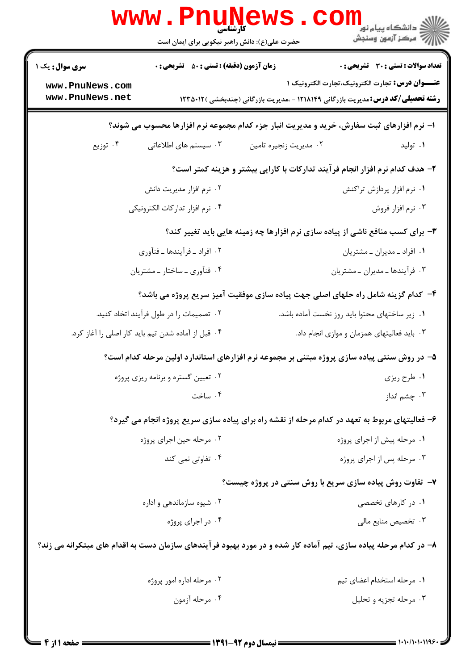|                                                                                                                   | www.Pnunews.<br>حضرت علی(ع): دانش راهبر نیکویی برای ایمان است                    |                                                                                                | د دانشڪاء پيا <sub>م</sub> نور¶<br>اڳ مرڪز آزمون وسنڊش                                                 |  |  |
|-------------------------------------------------------------------------------------------------------------------|----------------------------------------------------------------------------------|------------------------------------------------------------------------------------------------|--------------------------------------------------------------------------------------------------------|--|--|
| <b>سری سوال :</b> یک ۱<br>www.PnuNews.com<br>www.PnuNews.net                                                      | <b>زمان آزمون (دقیقه) : تستی : 50 ٪ تشریحی : 0</b>                               | <b>رشته تحصیلی/کد درس:</b> مدیریت بازرگانی ۱۲۱۸۱۴۹ - ،مدیریت بازرگانی (چندبخشی )۱۲۳۵۰۱۲        | <b>تعداد سوالات : تستی : 30 ٪ تشریحی : 0</b><br><b>عنـــوان درس:</b> تجارت الكترونيك،تجارت الكترونيك ١ |  |  |
| ۱– نرم افزارهای ثبت سفارش، خرید و مدیریت انبار جزء کدام مجموعه نرم افزارها محسوب می شوند؟                         |                                                                                  |                                                                                                |                                                                                                        |  |  |
| ۰۴ توزیع                                                                                                          | ۰۳ سیستم های اطلاعاتی                                                            | ۰۲ مدیریت زنجیره تامین                                                                         | ۰۱ تولید                                                                                               |  |  |
|                                                                                                                   |                                                                                  | ۲– هدف کدام نرم افزار انجام فرآیند تدارکات با کارایی بیشتر و هزینه کمتر است؟                   |                                                                                                        |  |  |
|                                                                                                                   | ۰۲ نرم افزار مدیریت دانش                                                         |                                                                                                | ٠١ نرم افزار پردازش تراكنش                                                                             |  |  |
|                                                                                                                   | ۰۴ نرم افزار تداركات الكترونيكي                                                  |                                                                                                | ۰۳ نرم افزار فروش                                                                                      |  |  |
| ۳- برای کسب منافع ناشی از پیاده سازی نرم افزارها چه زمینه هایی باید تغییر کند؟                                    |                                                                                  |                                                                                                |                                                                                                        |  |  |
| ۰۲ افراد ـ فرآیندها ـ فنآوری                                                                                      |                                                                                  | ۰۱ افراد ـ مديران ـ مشتريان                                                                    |                                                                                                        |  |  |
|                                                                                                                   | ۰۴ فنآوري ـ ساختار ـ مشتريان                                                     |                                                                                                | ۰۳ فرایندها ـ مدیران ـ مشتریان                                                                         |  |  |
|                                                                                                                   | ۴– کدام گزینه شامل راه حلهای اصلی جهت پیاده سازی موفقیت آمیز سریع پروژه می باشد؟ |                                                                                                |                                                                                                        |  |  |
| ۰۲ تصمیمات را در طول فرآیند اتخاد کنید.                                                                           |                                                                                  | ٠١ زير ساختهاى محتوا بايد روز نخست آماده باشد.                                                 |                                                                                                        |  |  |
| ۰۴ قبل از آماده شدن تیم باید کار اصلی را آغاز کرد.                                                                |                                                                                  | ۰۳ باید فعالیتهای همزمان و موازی انجام داد.                                                    |                                                                                                        |  |  |
|                                                                                                                   |                                                                                  | ۵– در روش سنتی پیاده سازی پروژه مبتنی بر مجموعه نرم افزارهای استاندارد اولین مرحله کدام است؟   |                                                                                                        |  |  |
|                                                                                                                   | ۰۲ تعیین گستره و برنامه ریزی پروژه                                               |                                                                                                | ۰۱ طرح ریزی                                                                                            |  |  |
|                                                                                                                   | ۰۴ ساخت                                                                          |                                                                                                | ۰۳ چشم انداز                                                                                           |  |  |
|                                                                                                                   |                                                                                  | ۶- فعالیتهای مربوط به تعهد در کدام مرحله از نقشه راه برای پیاده سازی سریع پروژه انجام می گیرد؟ |                                                                                                        |  |  |
| ۰۲ مرحله حین اجرای پروژه                                                                                          |                                                                                  | ۰۱ مرحله پیش از اجرای پروژه                                                                    |                                                                                                        |  |  |
|                                                                                                                   | ۰۴ تفاوتی نمی کند                                                                |                                                                                                | ۰۳ مرحله پس از اجرای پروژه                                                                             |  |  |
| ۷- تفاوت روش پیاده سازی سریع با روش سنتی در پروژه چیست؟                                                           |                                                                                  |                                                                                                |                                                                                                        |  |  |
|                                                                                                                   | ۰۲ شیوه سازماندهی و اداره                                                        |                                                                                                | ۰۱ در کارهای تخصصی                                                                                     |  |  |
|                                                                                                                   | ۰۴ در اجرای پروژه                                                                |                                                                                                | ۰۳ تخصیص منابع مالی                                                                                    |  |  |
| ۸– در کدام مرحله پیاده سازی، تیم آماده کار شده و در مورد بهبود فرآیندهای سازمان دست به اقدام های مبتکرانه می زند؟ |                                                                                  |                                                                                                |                                                                                                        |  |  |
|                                                                                                                   | ۰۲ مرحله اداره امور پروژه                                                        |                                                                                                | ۰۱ مرحله استخدام اعضای تیم                                                                             |  |  |
| ۰۴ مرحله آزمون                                                                                                    |                                                                                  |                                                                                                | ۰۳ مرحله تجزیه و تحلیل                                                                                 |  |  |
|                                                                                                                   |                                                                                  |                                                                                                |                                                                                                        |  |  |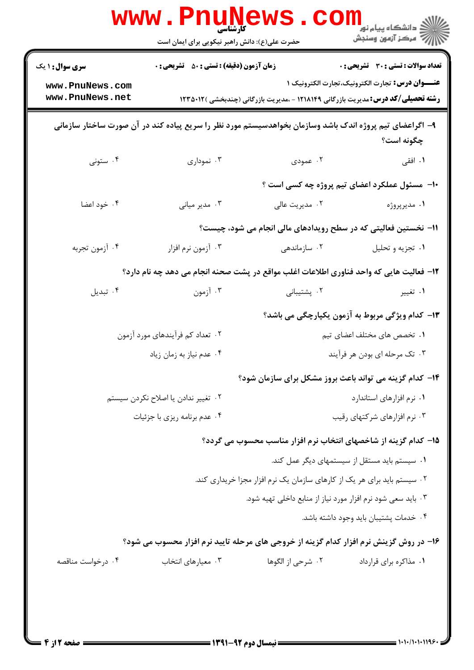|                                                                          | www . Pni<br>کارشناسی<br>حضرت علی(ع): دانش راهبر نیکویی برای ایمان است | WS.CO                                                                                                    | ڪ دانشڪاه پيام نور<br>ا∛ مرڪز آزمون وسنڊش                                                     |  |
|--------------------------------------------------------------------------|------------------------------------------------------------------------|----------------------------------------------------------------------------------------------------------|-----------------------------------------------------------------------------------------------|--|
| <b>سری سوال : ۱ یک</b><br>www.PnuNews.com<br>www.PnuNews.net             | <b>زمان آزمون (دقیقه) : تستی : 50 ٪ تشریحی : 0</b>                     | <b>رشته تحصیلی/کد درس:</b> مدیریت بازرگانی ۱۲۱۸۱۴۹ - ،مدیریت بازرگانی (چندبخشی )۱۲۳۵۰۱۲                  | تعداد سوالات : تستى : 30 قشريحى : 0<br><b>عنـــوان درس:</b> تجارت الكترونيك،تجارت الكترونيك ١ |  |
|                                                                          |                                                                        | ۹– اگراعضای تیم پروژه اندک باشد وسازمان بخواهدسیستم مورد نظر را سریع پیاده کند در آن صورت ساختار سازمانی | چگونه است؟                                                                                    |  |
| ۰۴ ستونی                                                                 | ۰۳ نموداری                                                             | ۲. عمودی                                                                                                 | ۰۱ افقی                                                                                       |  |
|                                                                          |                                                                        | ۱۰- مسئول عملکرد اعضای تیم پروژه چه کسی است ؟                                                            |                                                                                               |  |
| ۰۴ خود اعضا                                                              | ۰۳ مدير مياني                                                          | ۰۲ مدیریت عالی                                                                                           | ۰۱ مدیرپروژه                                                                                  |  |
|                                                                          |                                                                        | 11- نخستین فعالیتی که در سطح رویدادهای مالی انجام می شود، چیست؟                                          |                                                                                               |  |
| ۰۴ أزمون تجربه                                                           | ۰۳ آزمون نرم افزار                                                     | ۰۲ سازماندهی                                                                                             | ۰۱ تجزیه و تحلیل                                                                              |  |
|                                                                          |                                                                        | ۱۲- فعالیت هایی که واحد فناوری اطلاعات اغلب مواقع در پشت صحنه انجام می دهد چه نام دارد؟                  |                                                                                               |  |
| ۰۴ تبدیل                                                                 | ۰۳ آزمون                                                               | ۰۲ پشتیبان <i>ی</i>                                                                                      | ۰۱ تغییر                                                                                      |  |
|                                                                          |                                                                        |                                                                                                          | ۱۳- کدام ویژگی مربوط به آزمون یکپارچگی می باشد؟                                               |  |
|                                                                          | ۰۲ تعداد کم فرأیندهای مورد أزمون                                       |                                                                                                          | ۰۱ تخصص های مختلف اعضای تیم                                                                   |  |
|                                                                          | ۰۴ عدم نیاز به زمان زیاد                                               | ۰۳ تک مرحله ای بودن هر فرآیند                                                                            |                                                                                               |  |
|                                                                          |                                                                        | ۱۴- کدام گزینه می تواند باعث بروز مشکل برای سازمان شود؟                                                  |                                                                                               |  |
|                                                                          | ۰۲ تغییر ندادن یا اصلاح نکردن سیستم                                    |                                                                                                          | ۰۱ نرم افزارهای استاندارد                                                                     |  |
|                                                                          | ۰۴ عدم برنامه ريزي با جزئيات                                           |                                                                                                          | ۰۳ نرم افزارهای شرکتهای رقیب                                                                  |  |
|                                                                          |                                                                        | ۱۵– کدام گزینه از شاخصهای انتخاب نرم افزار مناسب محسوب می گردد؟                                          |                                                                                               |  |
|                                                                          |                                                                        | ۰۱ سیستم باید مستقل از سیستمهای دیگر عمل کند.                                                            |                                                                                               |  |
| ۰۲ سیستم باید برای هر یک از کارهای سازمان یک نرم افزار مجزا خریداری کند. |                                                                        |                                                                                                          |                                                                                               |  |
|                                                                          |                                                                        | ۰۳ باید سعی شود نرم افزار مورد نیاز از منابع داخلی تهیه شود.                                             |                                                                                               |  |
|                                                                          |                                                                        |                                                                                                          | ۰۴ خدمات پشتیبان باید وجود داشته باشد.                                                        |  |
|                                                                          |                                                                        | ۱۶- در روش گزینش نرم افزار کدام گزینه از خروجی های مرحله تایید نرم افزار محسوب می شود؟                   |                                                                                               |  |
| ۰۴ درخواست مناقصه                                                        | ۰۳ معیارهای انتخاب                                                     | ۰۲ شرحی از الگوها                                                                                        | ٠١ مذاكره براي قرارداد                                                                        |  |
|                                                                          |                                                                        |                                                                                                          |                                                                                               |  |
|                                                                          |                                                                        |                                                                                                          |                                                                                               |  |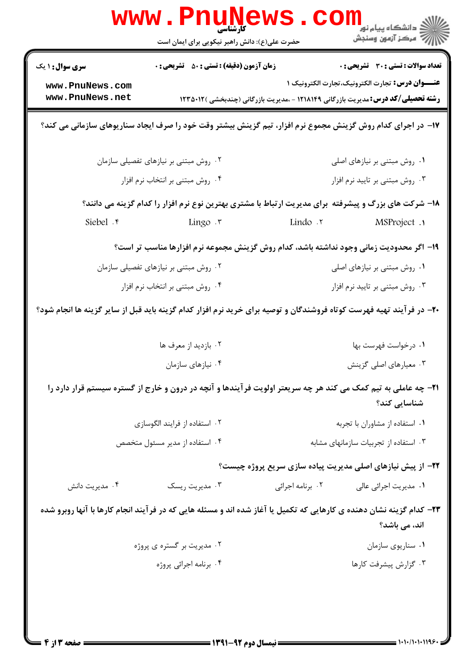| حضرت علی(ع): دانش راهبر نیکویی برای ایمان است                                                        | ڪ دانشڪاه پيا <sub>م</sub> نور<br><mark>√</mark> مرڪز آزمون وسنڊش                                                                                                   |  |  |  |
|------------------------------------------------------------------------------------------------------|---------------------------------------------------------------------------------------------------------------------------------------------------------------------|--|--|--|
| <b>زمان آزمون (دقیقه) : تستی : 50 ٪ تشریحی : 0</b>                                                   | <b>تعداد سوالات : تستی : 30 ٪ تشریحی : 0</b>                                                                                                                        |  |  |  |
|                                                                                                      | <b>عنـــوان درس:</b> تجارت الكترونيك،تجارت الكترونيك ١<br><b>رشته تحصیلی/کد درس:</b> مدیریت بازرگانی ۱۲۱۸۱۴۹ - ،مدیریت بازرگانی (چندبخشی )۱۲۳۵۰۱۲                   |  |  |  |
|                                                                                                      |                                                                                                                                                                     |  |  |  |
|                                                                                                      |                                                                                                                                                                     |  |  |  |
| ۰۲ روش مبتنی بر نیازهای تفصیلی سازمان                                                                |                                                                                                                                                                     |  |  |  |
| ۰۴ روش مبتنی بر انتخاب نرم افزار                                                                     |                                                                                                                                                                     |  |  |  |
| ۱۸– شرکت های بزرگ و پیشرفته برای مدیریت ارتباط با مشتری بهترین نوع نرم افزار را کدام گزینه می دانند؟ |                                                                                                                                                                     |  |  |  |
| Lingo ۲                                                                                              | ۲. Lindo<br><b>MSProject</b> .                                                                                                                                      |  |  |  |
| ۱۹- اگر محدودیت زمانی وجود نداشته باشد، کدام روش گزینش مجموعه نرم افزارها مناسب تر است؟              |                                                                                                                                                                     |  |  |  |
| ۰۲ روش مبتنی بر نیازهای تفصیلی سازمان                                                                | ۰۱ روش مبتنی بر نیازهای اصلی                                                                                                                                        |  |  |  |
| ۰۴ روش مبتنی بر انتخاب نرم افزار                                                                     | ۰۳ روش مبتنی بر تایید نرم افزار                                                                                                                                     |  |  |  |
|                                                                                                      | +۲- در فرآیند تهیه فهرست کوتاه فروشندگان و توصیه برای خرید نرم افزار کدام گزینه باید قبل از سایر گزینه ها انجام شود؟                                                |  |  |  |
| ٠١ درخواست فهرست بها<br>۰۲ بازدید از معرف ها                                                         |                                                                                                                                                                     |  |  |  |
| ۰۴ نیازهای سازمان<br>۰۳ معیارهای اصلی گزینش                                                          |                                                                                                                                                                     |  |  |  |
|                                                                                                      | ۲۱- چه عاملی به تیم کمک می کند هر چه سریعتر اولویت فرآیندها و آنچه در درون و خارج از گستره سیستم قرار دارد را<br>شناسایی کند؟                                       |  |  |  |
| ۰۲ استفاده از فرایند الگوسازی                                                                        | ٠١ استفاده از مشاوران با تجربه                                                                                                                                      |  |  |  |
| ۰۴ استفاده از مدیر مسئول متخصص                                                                       | ۰۳ استفاده از تجربیات سازمانهای مشابه                                                                                                                               |  |  |  |
|                                                                                                      | ۲۲- از پیش نیازهای اصلی مدیریت پیاده سازی سریع پروژه چیست؟                                                                                                          |  |  |  |
| ۰۳ مدیریت ریسک                                                                                       | ۰۲ برنامه اجرائی<br>۰۱ مدیریت اجرائی عالی                                                                                                                           |  |  |  |
|                                                                                                      | ۲۳- کدام گزینه نشان دهنده ی کارهایی که تکمیل یا آغاز شده اند و مسئله هایی که در فرآیند انجام کارها با آنها روبرو شده<br>اند، می باشد؟                               |  |  |  |
|                                                                                                      | ۰۱ سناريوي سازمان                                                                                                                                                   |  |  |  |
|                                                                                                      | ۰۳ گزارش پیشرفت کارها                                                                                                                                               |  |  |  |
|                                                                                                      |                                                                                                                                                                     |  |  |  |
|                                                                                                      |                                                                                                                                                                     |  |  |  |
|                                                                                                      |                                                                                                                                                                     |  |  |  |
|                                                                                                      | ۱۷– در اجرای کدام روش گزینش مجموع نرم افزار، تیم گزینش بیشتر وقت خود را صرف ایجاد سناریوهای سازمانی می کند؟<br>۰۲ مدیریت بر گستره ی پروژه<br>۰۴ برنامه اجرائی پروژه |  |  |  |

 $= 1.1 - 11.119$